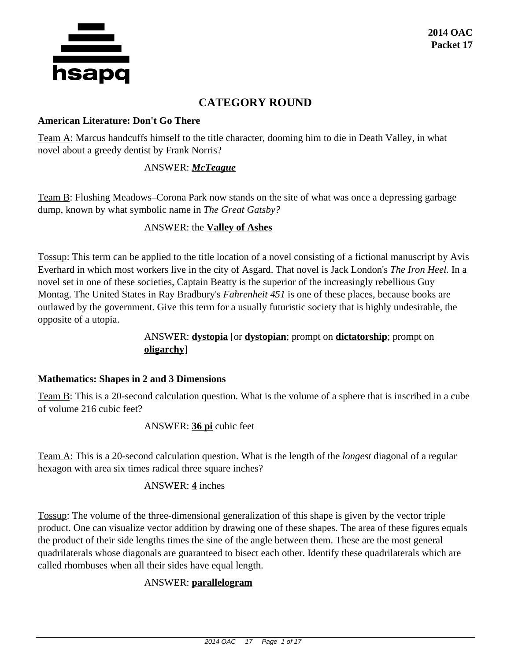

# **CATEGORY ROUND**

#### **American Literature: Don't Go There**

Team A: Marcus handcuffs himself to the title character, dooming him to die in Death Valley, in what novel about a greedy dentist by Frank Norris?

# ANSWER: *McTeague*

Team B: Flushing Meadows–Corona Park now stands on the site of what was once a depressing garbage dump, known by what symbolic name in *The Great Gatsby?*

# ANSWER: the **Valley of Ashes**

Tossup: This term can be applied to the title location of a novel consisting of a fictional manuscript by Avis Everhard in which most workers live in the city of Asgard. That novel is Jack London's *The Iron Heel.* In a novel set in one of these societies, Captain Beatty is the superior of the increasingly rebellious Guy Montag. The United States in Ray Bradbury's *Fahrenheit 451* is one of these places, because books are outlawed by the government. Give this term for a usually futuristic society that is highly undesirable, the opposite of a utopia.

# ANSWER: **dystopia** [or **dystopian**; prompt on **dictatorship**; prompt on **oligarchy**]

### **Mathematics: Shapes in 2 and 3 Dimensions**

Team B: This is a 20-second calculation question. What is the volume of a sphere that is inscribed in a cube of volume 216 cubic feet?

ANSWER: **36 pi** cubic feet

Team A: This is a 20-second calculation question. What is the length of the *longest* diagonal of a regular hexagon with area six times radical three square inches?

### ANSWER: **4** inches

Tossup: The volume of the three-dimensional generalization of this shape is given by the vector triple product. One can visualize vector addition by drawing one of these shapes. The area of these figures equals the product of their side lengths times the sine of the angle between them. These are the most general quadrilaterals whose diagonals are guaranteed to bisect each other. Identify these quadrilaterals which are called rhombuses when all their sides have equal length.

# ANSWER: **parallelogram**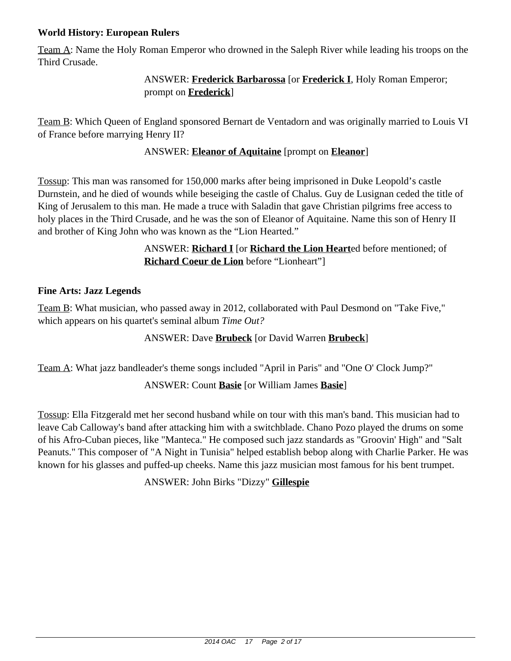# **World History: European Rulers**

Team A: Name the Holy Roman Emperor who drowned in the Saleph River while leading his troops on the Third Crusade.

# ANSWER: **Frederick Barbarossa** [or **Frederick I**, Holy Roman Emperor; prompt on **Frederick**]

Team B: Which Queen of England sponsored Bernart de Ventadorn and was originally married to Louis VI of France before marrying Henry II?

# ANSWER: **Eleanor of Aquitaine** [prompt on **Eleanor**]

Tossup: This man was ransomed for 150,000 marks after being imprisoned in Duke Leopold's castle Durnstein, and he died of wounds while beseiging the castle of Chalus. Guy de Lusignan ceded the title of King of Jerusalem to this man. He made a truce with Saladin that gave Christian pilgrims free access to holy places in the Third Crusade, and he was the son of Eleanor of Aquitaine. Name this son of Henry II and brother of King John who was known as the "Lion Hearted."

> ANSWER: **Richard I** [or **Richard the Lion Heart**ed before mentioned; of **Richard Coeur de Lion** before "Lionheart"]

# **Fine Arts: Jazz Legends**

Team B: What musician, who passed away in 2012, collaborated with Paul Desmond on "Take Five," which appears on his quartet's seminal album *Time Out?*

# ANSWER: Dave **Brubeck** [or David Warren **Brubeck**]

Team A: What jazz bandleader's theme songs included "April in Paris" and "One O' Clock Jump?"

# ANSWER: Count **Basie** [or William James **Basie**]

Tossup: Ella Fitzgerald met her second husband while on tour with this man's band. This musician had to leave Cab Calloway's band after attacking him with a switchblade. Chano Pozo played the drums on some of his Afro-Cuban pieces, like "Manteca." He composed such jazz standards as "Groovin' High" and "Salt Peanuts." This composer of "A Night in Tunisia" helped establish bebop along with Charlie Parker. He was known for his glasses and puffed-up cheeks. Name this jazz musician most famous for his bent trumpet.

ANSWER: John Birks "Dizzy" **Gillespie**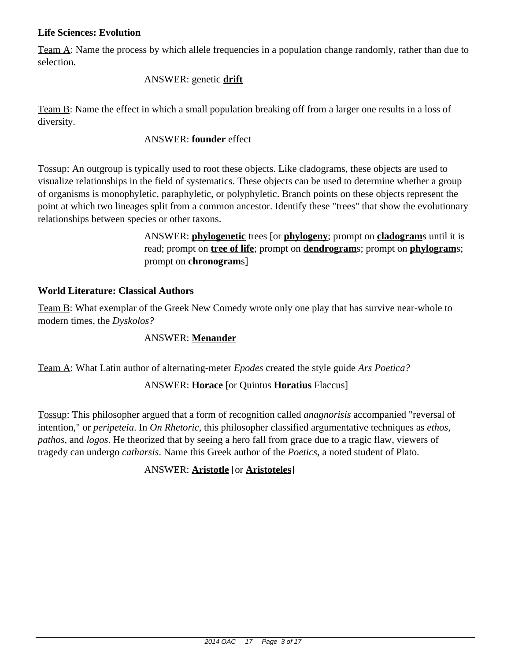### **Life Sciences: Evolution**

Team A: Name the process by which allele frequencies in a population change randomly, rather than due to selection.

### ANSWER: genetic **drift**

Team B: Name the effect in which a small population breaking off from a larger one results in a loss of diversity.

# ANSWER: **founder** effect

Tossup: An outgroup is typically used to root these objects. Like cladograms, these objects are used to visualize relationships in the field of systematics. These objects can be used to determine whether a group of organisms is monophyletic, paraphyletic, or polyphyletic. Branch points on these objects represent the point at which two lineages split from a common ancestor. Identify these "trees" that show the evolutionary relationships between species or other taxons.

> ANSWER: **phylogenetic** trees [or **phylogeny**; prompt on **cladogram**s until it is read; prompt on **tree of life**; prompt on **dendrogram**s; prompt on **phylogram**s; prompt on **chronogram**s]

# **World Literature: Classical Authors**

Team B: What exemplar of the Greek New Comedy wrote only one play that has survive near-whole to modern times, the *Dyskolos?*

# ANSWER: **Menander**

Team A: What Latin author of alternating-meter *Epodes* created the style guide *Ars Poetica?*

# ANSWER: **Horace** [or Quintus **Horatius** Flaccus]

Tossup: This philosopher argued that a form of recognition called *anagnorisis* accompanied "reversal of intention," or *peripeteia*. In *On Rhetoric*, this philosopher classified argumentative techniques as *ethos*, *pathos*, and *logos*. He theorized that by seeing a hero fall from grace due to a tragic flaw, viewers of tragedy can undergo *catharsis*. Name this Greek author of the *Poetics*, a noted student of Plato.

### ANSWER: **Aristotle** [or **Aristoteles**]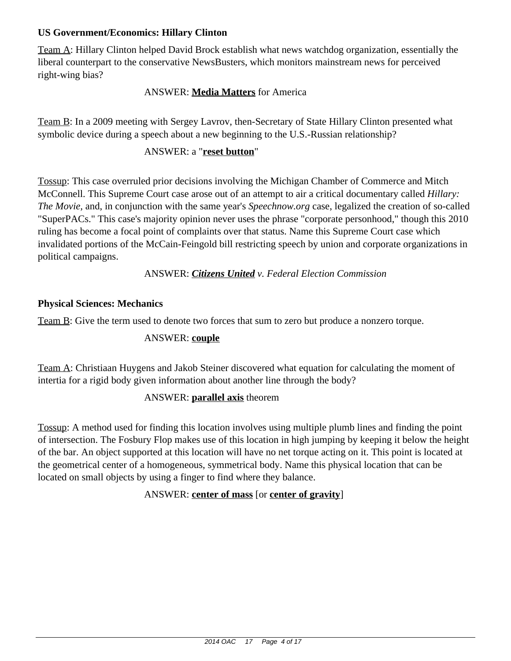# **US Government/Economics: Hillary Clinton**

Team A: Hillary Clinton helped David Brock establish what news watchdog organization, essentially the liberal counterpart to the conservative NewsBusters, which monitors mainstream news for perceived right-wing bias?

# ANSWER: **Media Matters** for America

Team B: In a 2009 meeting with Sergey Lavrov, then-Secretary of State Hillary Clinton presented what symbolic device during a speech about a new beginning to the U.S.-Russian relationship?

### ANSWER: a "**reset button**"

Tossup: This case overruled prior decisions involving the Michigan Chamber of Commerce and Mitch McConnell. This Supreme Court case arose out of an attempt to air a critical documentary called *Hillary: The Movie,* and, in conjunction with the same year's *Speechnow.org* case, legalized the creation of so-called "SuperPACs." This case's majority opinion never uses the phrase "corporate personhood," though this 2010 ruling has become a focal point of complaints over that status. Name this Supreme Court case which invalidated portions of the McCain-Feingold bill restricting speech by union and corporate organizations in political campaigns.

### ANSWER: *Citizens United v. Federal Election Commission*

### **Physical Sciences: Mechanics**

Team B: Give the term used to denote two forces that sum to zero but produce a nonzero torque.

### ANSWER: **couple**

Team A: Christiaan Huygens and Jakob Steiner discovered what equation for calculating the moment of intertia for a rigid body given information about another line through the body?

### ANSWER: **parallel axis** theorem

Tossup: A method used for finding this location involves using multiple plumb lines and finding the point of intersection. The Fosbury Flop makes use of this location in high jumping by keeping it below the height of the bar. An object supported at this location will have no net torque acting on it. This point is located at the geometrical center of a homogeneous, symmetrical body. Name this physical location that can be located on small objects by using a finger to find where they balance.

# ANSWER: **center of mass** [or **center of gravity**]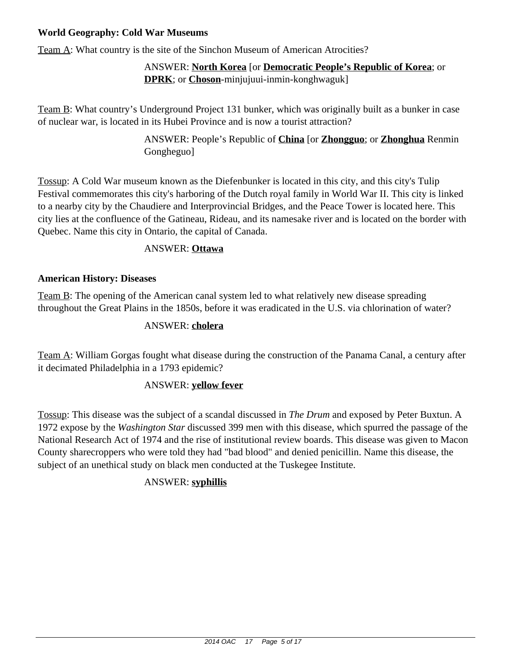# **World Geography: Cold War Museums**

Team A: What country is the site of the Sinchon Museum of American Atrocities?

# ANSWER: **North Korea** [or **Democratic People's Republic of Korea**; or **DPRK**; or **Choson**-minjujuui-inmin-konghwaguk]

Team B: What country's Underground Project 131 bunker, which was originally built as a bunker in case of nuclear war, is located in its Hubei Province and is now a tourist attraction?

> ANSWER: People's Republic of **China** [or **Zhongguo**; or **Zhonghua** Renmin Gongheguo]

Tossup: A Cold War museum known as the Diefenbunker is located in this city, and this city's Tulip Festival commemorates this city's harboring of the Dutch royal family in World War II. This city is linked to a nearby city by the Chaudiere and Interprovincial Bridges, and the Peace Tower is located here. This city lies at the confluence of the Gatineau, Rideau, and its namesake river and is located on the border with Quebec. Name this city in Ontario, the capital of Canada.

# ANSWER: **Ottawa**

# **American History: Diseases**

Team B: The opening of the American canal system led to what relatively new disease spreading throughout the Great Plains in the 1850s, before it was eradicated in the U.S. via chlorination of water?

## ANSWER: **cholera**

Team A: William Gorgas fought what disease during the construction of the Panama Canal, a century after it decimated Philadelphia in a 1793 epidemic?

### ANSWER: **yellow fever**

Tossup: This disease was the subject of a scandal discussed in *The Drum* and exposed by Peter Buxtun. A 1972 expose by the *Washington Star* discussed 399 men with this disease, which spurred the passage of the National Research Act of 1974 and the rise of institutional review boards. This disease was given to Macon County sharecroppers who were told they had "bad blood" and denied penicillin. Name this disease, the subject of an unethical study on black men conducted at the Tuskegee Institute.

# ANSWER: **syphillis**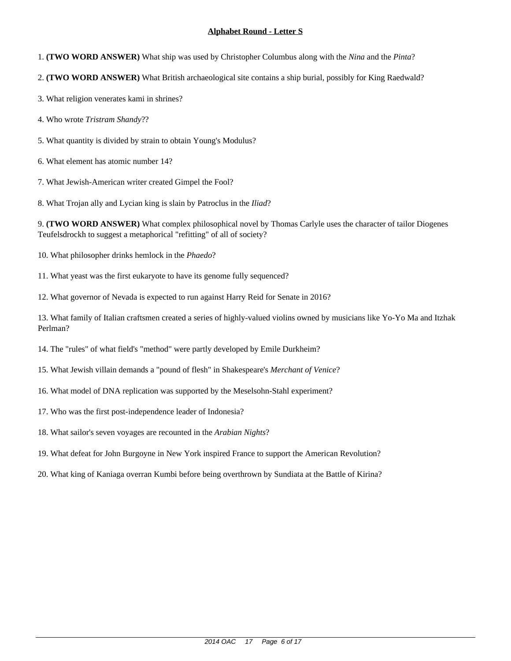- 1. **(TWO WORD ANSWER)** What ship was used by Christopher Columbus along with the *Nina* and the *Pinta*?
- 2. **(TWO WORD ANSWER)** What British archaeological site contains a ship burial, possibly for King Raedwald?
- 3. What religion venerates kami in shrines?
- 4. Who wrote *Tristram Shandy*??
- 5. What quantity is divided by strain to obtain Young's Modulus?
- 6. What element has atomic number 14?
- 7. What Jewish-American writer created Gimpel the Fool?
- 8. What Trojan ally and Lycian king is slain by Patroclus in the *Iliad*?

9. **(TWO WORD ANSWER)** What complex philosophical novel by Thomas Carlyle uses the character of tailor Diogenes Teufelsdrockh to suggest a metaphorical "refitting" of all of society?

- 10. What philosopher drinks hemlock in the *Phaedo*?
- 11. What yeast was the first eukaryote to have its genome fully sequenced?
- 12. What governor of Nevada is expected to run against Harry Reid for Senate in 2016?

- 14. The "rules" of what field's "method" were partly developed by Emile Durkheim?
- 15. What Jewish villain demands a "pound of flesh" in Shakespeare's *Merchant of Venice*?
- 16. What model of DNA replication was supported by the Meselsohn-Stahl experiment?
- 17. Who was the first post-independence leader of Indonesia?
- 18. What sailor's seven voyages are recounted in the *Arabian Nights*?
- 19. What defeat for John Burgoyne in New York inspired France to support the American Revolution?
- 20. What king of Kaniaga overran Kumbi before being overthrown by Sundiata at the Battle of Kirina?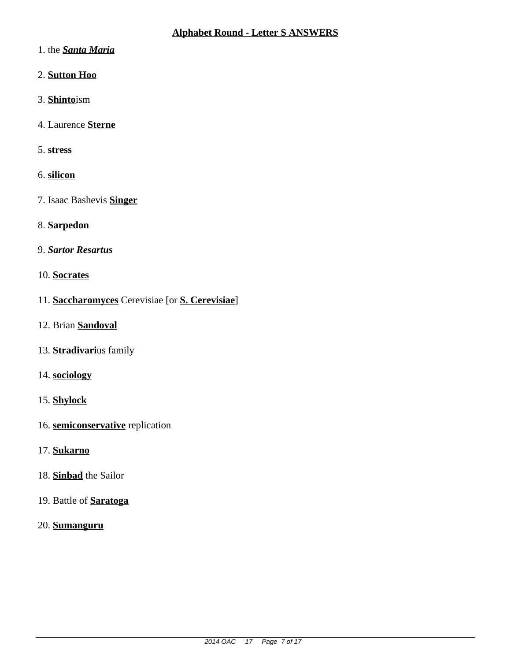- 1. the **Santa Maria**
- 2. Sutton Hoo
- 3. Shintoism
- 4. Laurence Sterne
- 5. stress
- 6. silicon
- 7. Isaac Bashevis **Singer**
- 8. Sarpedon
- 9. Sartor Resartus
- 10. Socrates
- 11. Saccharomyces Cerevisiae [or S. Cerevisiae]
- 12. Brian Sandoval
- 13. Stradivarius family
- 14. sociology
- 15. Shylock
- 16. semiconservative replication
- 17. Sukarno
- 18. Sinbad the Sailor
- 19. Battle of **Saratoga**
- 20. Sumanguru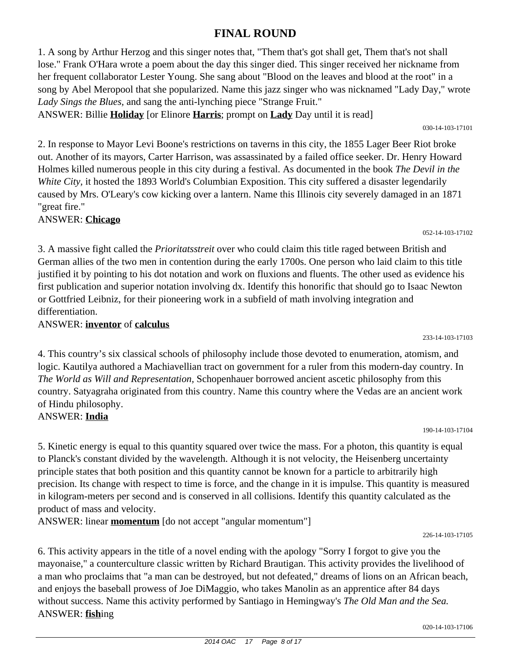#### 2014 OAC 17 Page 8 of 17

# **FINAL ROUND**

1. A song by Arthur Herzog and this singer notes that, "Them that's got shall get, Them that's not shall lose." Frank O'Hara wrote a poem about the day this singer died. This singer received her nickname from her frequent collaborator Lester Young. She sang about "Blood on the leaves and blood at the root" in a song by Abel Meropool that she popularized. Name this jazz singer who was nicknamed "Lady Day," wrote *Lady Sings the Blues,* and sang the anti-lynching piece "Strange Fruit."

ANSWER: Billie **Holiday** [or Elinore **Harris**; prompt on **Lady** Day until it is read]

2. In response to Mayor Levi Boone's restrictions on taverns in this city, the 1855 Lager Beer Riot broke out. Another of its mayors, Carter Harrison, was assassinated by a failed office seeker. Dr. Henry Howard Holmes killed numerous people in this city during a festival. As documented in the book *The Devil in the White City,* it hosted the 1893 World's Columbian Exposition. This city suffered a disaster legendarily caused by Mrs. O'Leary's cow kicking over a lantern. Name this Illinois city severely damaged in an 1871 "great fire."

ANSWER: **Chicago**

3. A massive fight called the *Prioritatsstreit* over who could claim this title raged between British and German allies of the two men in contention during the early 1700s. One person who laid claim to this title justified it by pointing to his dot notation and work on fluxions and fluents. The other used as evidence his first publication and superior notation involving dx. Identify this honorific that should go to Isaac Newton or Gottfried Leibniz, for their pioneering work in a subfield of math involving integration and differentiation.

ANSWER: **inventor** of **calculus**

4. This country's six classical schools of philosophy include those devoted to enumeration, atomism, and logic. Kautilya authored a Machiavellian tract on government for a ruler from this modern-day country. In *The World as Will and Representation,* Schopenhauer borrowed ancient ascetic philosophy from this country. Satyagraha originated from this country. Name this country where the Vedas are an ancient work of Hindu philosophy. ANSWER: **India**

5. Kinetic energy is equal to this quantity squared over twice the mass. For a photon, this quantity is equal to Planck's constant divided by the wavelength. Although it is not velocity, the Heisenberg uncertainty principle states that both position and this quantity cannot be known for a particle to arbitrarily high precision. Its change with respect to time is force, and the change in it is impulse. This quantity is measured in kilogram-meters per second and is conserved in all collisions. Identify this quantity calculated as the product of mass and velocity.

ANSWER: linear **momentum** [do not accept "angular momentum"]

226-14-103-17105

6. This activity appears in the title of a novel ending with the apology "Sorry I forgot to give you the mayonaise," a counterculture classic written by Richard Brautigan. This activity provides the livelihood of a man who proclaims that "a man can be destroyed, but not defeated," dreams of lions on an African beach, and enjoys the baseball prowess of Joe DiMaggio, who takes Manolin as an apprentice after 84 days without success. Name this activity performed by Santiago in Hemingway's *The Old Man and the Sea.* ANSWER: **fish**ing

030-14-103-17101

052-14-103-17102

233-14-103-17103

190-14-103-17104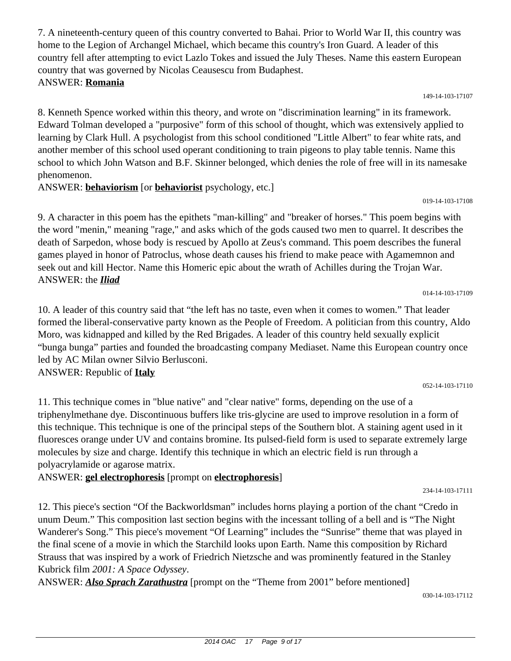7. A nineteenth-century queen of this country converted to Bahai. Prior to World War II, this country was home to the Legion of Archangel Michael, which became this country's Iron Guard. A leader of this country fell after attempting to evict Lazlo Tokes and issued the July Theses. Name this eastern European country that was governed by Nicolas Ceausescu from Budaphest.

# ANSWER: **Romania**

8. Kenneth Spence worked within this theory, and wrote on "discrimination learning" in its framework. Edward Tolman developed a "purposive" form of this school of thought, which was extensively applied to learning by Clark Hull. A psychologist from this school conditioned "Little Albert" to fear white rats, and another member of this school used operant conditioning to train pigeons to play table tennis. Name this school to which John Watson and B.F. Skinner belonged, which denies the role of free will in its namesake phenomenon.

ANSWER: **behaviorism** [or **behaviorist** psychology, etc.]

9. A character in this poem has the epithets "man-killing" and "breaker of horses." This poem begins with the word "menin," meaning "rage," and asks which of the gods caused two men to quarrel. It describes the death of Sarpedon, whose body is rescued by Apollo at Zeus's command. This poem describes the funeral games played in honor of Patroclus, whose death causes his friend to make peace with Agamemnon and seek out and kill Hector. Name this Homeric epic about the wrath of Achilles during the Trojan War. ANSWER: the *Iliad*

10. A leader of this country said that "the left has no taste, even when it comes to women." That leader formed the liberal-conservative party known as the People of Freedom. A politician from this country, Aldo Moro, was kidnapped and killed by the Red Brigades. A leader of this country held sexually explicit "bunga bunga" parties and founded the broadcasting company Mediaset. Name this European country once led by AC Milan owner Silvio Berlusconi. ANSWER: Republic of **Italy**

11. This technique comes in "blue native" and "clear native" forms, depending on the use of a triphenylmethane dye. Discontinuous buffers like tris-glycine are used to improve resolution in a form of this technique. This technique is one of the principal steps of the Southern blot. A staining agent used in it fluoresces orange under UV and contains bromine. Its pulsed-field form is used to separate extremely large molecules by size and charge. Identify this technique in which an electric field is run through a polyacrylamide or agarose matrix.

ANSWER: **gel electrophoresis** [prompt on **electrophoresis**]

12. This piece's section "Of the Backworldsman" includes horns playing a portion of the chant "Credo in unum Deum." This composition last section begins with the incessant tolling of a bell and is "The Night Wanderer's Song." This piece's movement "Of Learning" includes the "Sunrise" theme that was played in the final scene of a movie in which the Starchild looks upon Earth. Name this composition by Richard Strauss that was inspired by a work of Friedrich Nietzsche and was prominently featured in the Stanley Kubrick film *2001: A Space Odyssey*.

ANSWER: *Also Sprach Zarathustra* [prompt on the "Theme from 2001" before mentioned]

014-14-103-17109

052-14-103-17110

234-14-103-17111

030-14-103-17112

#### 149-14-103-17107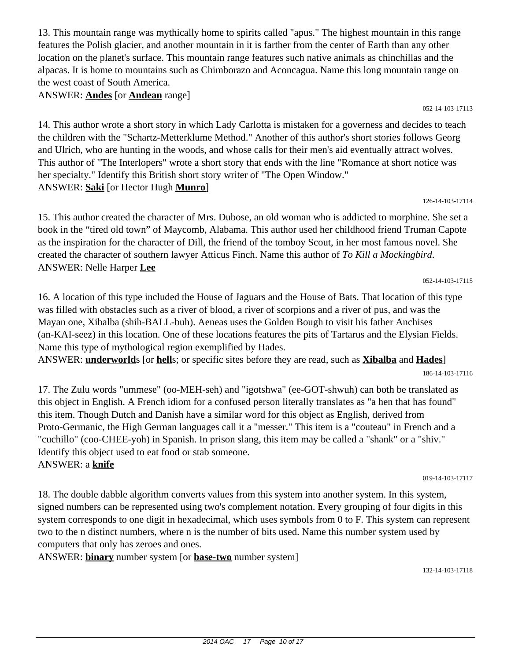13. This mountain range was mythically home to spirits called "apus." The highest mountain in this range features the Polish glacier, and another mountain in it is farther from the center of Earth than any other location on the planet's surface. This mountain range features such native animals as chinchillas and the alpacas. It is home to mountains such as Chimborazo and Aconcagua. Name this long mountain range on the west coast of South America.

ANSWER: **Andes** [or **Andean** range]

052-14-103-17113

14. This author wrote a short story in which Lady Carlotta is mistaken for a governess and decides to teach the children with the "Schartz-Metterklume Method." Another of this author's short stories follows Georg and Ulrich, who are hunting in the woods, and whose calls for their men's aid eventually attract wolves. This author of "The Interlopers" wrote a short story that ends with the line "Romance at short notice was her specialty." Identify this British short story writer of "The Open Window." ANSWER: **Saki** [or Hector Hugh **Munro**]

126-14-103-17114

15. This author created the character of Mrs. Dubose, an old woman who is addicted to morphine. She set a book in the "tired old town" of Maycomb, Alabama. This author used her childhood friend Truman Capote as the inspiration for the character of Dill, the friend of the tomboy Scout, in her most famous novel. She created the character of southern lawyer Atticus Finch. Name this author of *To Kill a Mockingbird*. ANSWER: Nelle Harper **Lee**

052-14-103-17115

16. A location of this type included the House of Jaguars and the House of Bats. That location of this type was filled with obstacles such as a river of blood, a river of scorpions and a river of pus, and was the Mayan one, Xibalba (shih-BALL-buh). Aeneas uses the Golden Bough to visit his father Anchises (an-KAI-seez) in this location. One of these locations features the pits of Tartarus and the Elysian Fields. Name this type of mythological region exemplified by Hades.

ANSWER: **underworld**s [or **hell**s; or specific sites before they are read, such as **Xibalba** and **Hades**]

17. The Zulu words "ummese" (oo-MEH-seh) and "igotshwa" (ee-GOT-shwuh) can both be translated as this object in English. A French idiom for a confused person literally translates as "a hen that has found" this item. Though Dutch and Danish have a similar word for this object as English, derived from Proto-Germanic, the High German languages call it a "messer." This item is a "couteau" in French and a "cuchillo" (coo-CHEE-yoh) in Spanish. In prison slang, this item may be called a "shank" or a "shiv." Identify this object used to eat food or stab someone. ANSWER: a **knife**

019-14-103-17117

18. The double dabble algorithm converts values from this system into another system. In this system, signed numbers can be represented using two's complement notation. Every grouping of four digits in this system corresponds to one digit in hexadecimal, which uses symbols from 0 to F. This system can represent two to the n distinct numbers, where n is the number of bits used. Name this number system used by computers that only has zeroes and ones.

ANSWER: **binary** number system [or **base-two** number system]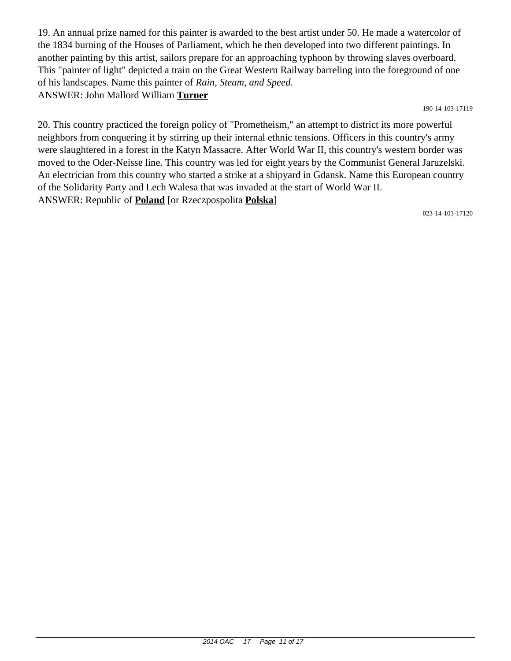19. An annual prize named for this painter is awarded to the best artist under 50. He made a watercolor of the 1834 burning of the Houses of Parliament, which he then developed into two different paintings. In another painting by this artist, sailors prepare for an approaching typhoon by throwing slaves overboard. This "painter of light" depicted a train on the Great Western Railway barreling into the foreground of one of his landscapes. Name this painter of *Rain, Steam, and Speed*. ANSWER: John Mallord William **Turner**

190-14-103-17119

20. This country practiced the foreign policy of "Prometheism," an attempt to district its more powerful neighbors from conquering it by stirring up their internal ethnic tensions. Officers in this country's army were slaughtered in a forest in the Katyn Massacre. After World War II, this country's western border was moved to the Oder-Neisse line. This country was led for eight years by the Communist General Jaruzelski. An electrician from this country who started a strike at a shipyard in Gdansk. Name this European country of the Solidarity Party and Lech Walesa that was invaded at the start of World War II. ANSWER: Republic of **Poland** [or Rzeczpospolita **Polska**]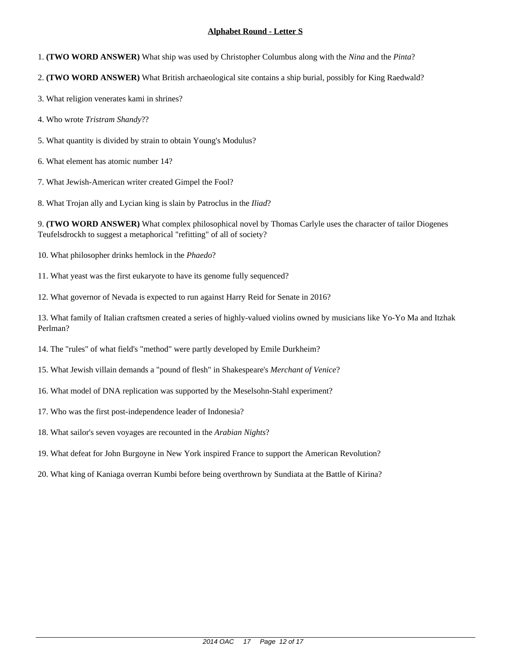- 1. **(TWO WORD ANSWER)** What ship was used by Christopher Columbus along with the *Nina* and the *Pinta*?
- 2. **(TWO WORD ANSWER)** What British archaeological site contains a ship burial, possibly for King Raedwald?
- 3. What religion venerates kami in shrines?
- 4. Who wrote *Tristram Shandy*??
- 5. What quantity is divided by strain to obtain Young's Modulus?
- 6. What element has atomic number 14?
- 7. What Jewish-American writer created Gimpel the Fool?
- 8. What Trojan ally and Lycian king is slain by Patroclus in the *Iliad*?

9. **(TWO WORD ANSWER)** What complex philosophical novel by Thomas Carlyle uses the character of tailor Diogenes Teufelsdrockh to suggest a metaphorical "refitting" of all of society?

- 10. What philosopher drinks hemlock in the *Phaedo*?
- 11. What yeast was the first eukaryote to have its genome fully sequenced?
- 12. What governor of Nevada is expected to run against Harry Reid for Senate in 2016?

- 14. The "rules" of what field's "method" were partly developed by Emile Durkheim?
- 15. What Jewish villain demands a "pound of flesh" in Shakespeare's *Merchant of Venice*?
- 16. What model of DNA replication was supported by the Meselsohn-Stahl experiment?
- 17. Who was the first post-independence leader of Indonesia?
- 18. What sailor's seven voyages are recounted in the *Arabian Nights*?
- 19. What defeat for John Burgoyne in New York inspired France to support the American Revolution?
- 20. What king of Kaniaga overran Kumbi before being overthrown by Sundiata at the Battle of Kirina?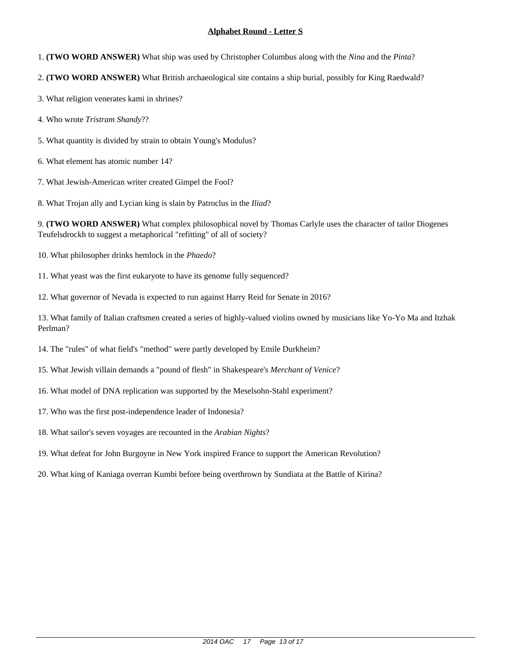- 1. **(TWO WORD ANSWER)** What ship was used by Christopher Columbus along with the *Nina* and the *Pinta*?
- 2. **(TWO WORD ANSWER)** What British archaeological site contains a ship burial, possibly for King Raedwald?
- 3. What religion venerates kami in shrines?
- 4. Who wrote *Tristram Shandy*??
- 5. What quantity is divided by strain to obtain Young's Modulus?
- 6. What element has atomic number 14?
- 7. What Jewish-American writer created Gimpel the Fool?
- 8. What Trojan ally and Lycian king is slain by Patroclus in the *Iliad*?

9. **(TWO WORD ANSWER)** What complex philosophical novel by Thomas Carlyle uses the character of tailor Diogenes Teufelsdrockh to suggest a metaphorical "refitting" of all of society?

- 10. What philosopher drinks hemlock in the *Phaedo*?
- 11. What yeast was the first eukaryote to have its genome fully sequenced?
- 12. What governor of Nevada is expected to run against Harry Reid for Senate in 2016?

- 14. The "rules" of what field's "method" were partly developed by Emile Durkheim?
- 15. What Jewish villain demands a "pound of flesh" in Shakespeare's *Merchant of Venice*?
- 16. What model of DNA replication was supported by the Meselsohn-Stahl experiment?
- 17. Who was the first post-independence leader of Indonesia?
- 18. What sailor's seven voyages are recounted in the *Arabian Nights*?
- 19. What defeat for John Burgoyne in New York inspired France to support the American Revolution?
- 20. What king of Kaniaga overran Kumbi before being overthrown by Sundiata at the Battle of Kirina?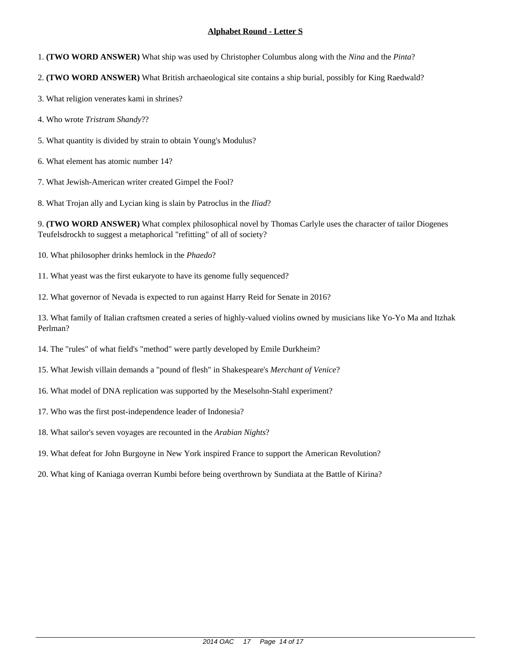- 1. **(TWO WORD ANSWER)** What ship was used by Christopher Columbus along with the *Nina* and the *Pinta*?
- 2. **(TWO WORD ANSWER)** What British archaeological site contains a ship burial, possibly for King Raedwald?
- 3. What religion venerates kami in shrines?
- 4. Who wrote *Tristram Shandy*??
- 5. What quantity is divided by strain to obtain Young's Modulus?
- 6. What element has atomic number 14?
- 7. What Jewish-American writer created Gimpel the Fool?
- 8. What Trojan ally and Lycian king is slain by Patroclus in the *Iliad*?

9. **(TWO WORD ANSWER)** What complex philosophical novel by Thomas Carlyle uses the character of tailor Diogenes Teufelsdrockh to suggest a metaphorical "refitting" of all of society?

- 10. What philosopher drinks hemlock in the *Phaedo*?
- 11. What yeast was the first eukaryote to have its genome fully sequenced?
- 12. What governor of Nevada is expected to run against Harry Reid for Senate in 2016?

- 14. The "rules" of what field's "method" were partly developed by Emile Durkheim?
- 15. What Jewish villain demands a "pound of flesh" in Shakespeare's *Merchant of Venice*?
- 16. What model of DNA replication was supported by the Meselsohn-Stahl experiment?
- 17. Who was the first post-independence leader of Indonesia?
- 18. What sailor's seven voyages are recounted in the *Arabian Nights*?
- 19. What defeat for John Burgoyne in New York inspired France to support the American Revolution?
- 20. What king of Kaniaga overran Kumbi before being overthrown by Sundiata at the Battle of Kirina?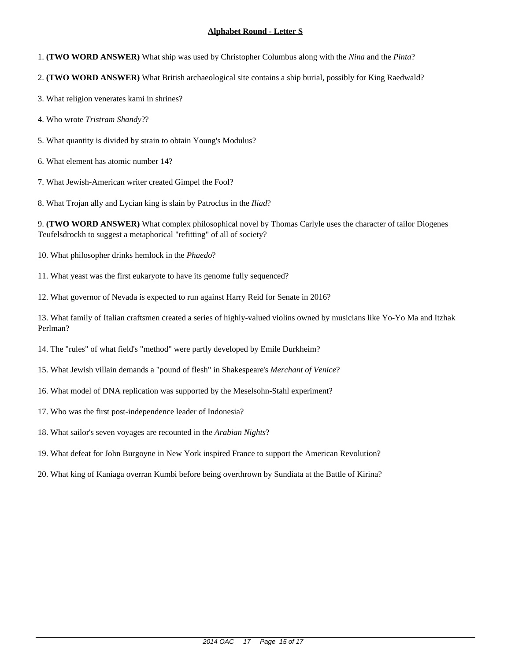- 1. **(TWO WORD ANSWER)** What ship was used by Christopher Columbus along with the *Nina* and the *Pinta*?
- 2. **(TWO WORD ANSWER)** What British archaeological site contains a ship burial, possibly for King Raedwald?
- 3. What religion venerates kami in shrines?
- 4. Who wrote *Tristram Shandy*??
- 5. What quantity is divided by strain to obtain Young's Modulus?
- 6. What element has atomic number 14?
- 7. What Jewish-American writer created Gimpel the Fool?
- 8. What Trojan ally and Lycian king is slain by Patroclus in the *Iliad*?

9. **(TWO WORD ANSWER)** What complex philosophical novel by Thomas Carlyle uses the character of tailor Diogenes Teufelsdrockh to suggest a metaphorical "refitting" of all of society?

- 10. What philosopher drinks hemlock in the *Phaedo*?
- 11. What yeast was the first eukaryote to have its genome fully sequenced?
- 12. What governor of Nevada is expected to run against Harry Reid for Senate in 2016?

- 14. The "rules" of what field's "method" were partly developed by Emile Durkheim?
- 15. What Jewish villain demands a "pound of flesh" in Shakespeare's *Merchant of Venice*?
- 16. What model of DNA replication was supported by the Meselsohn-Stahl experiment?
- 17. Who was the first post-independence leader of Indonesia?
- 18. What sailor's seven voyages are recounted in the *Arabian Nights*?
- 19. What defeat for John Burgoyne in New York inspired France to support the American Revolution?
- 20. What king of Kaniaga overran Kumbi before being overthrown by Sundiata at the Battle of Kirina?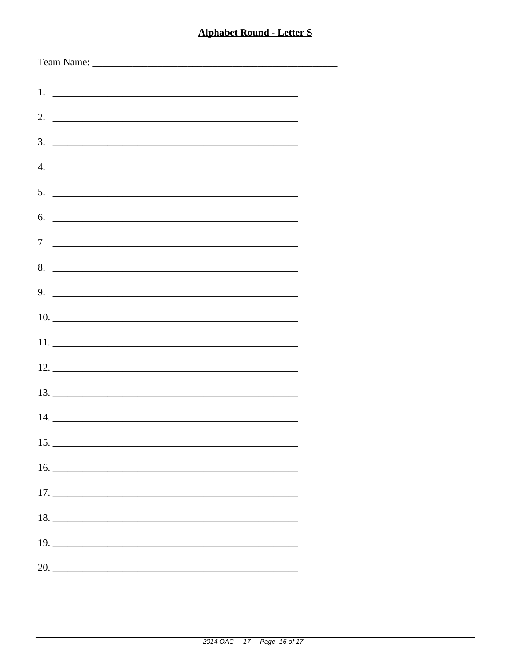| $5.$ $\overline{\phantom{a}}$      |
|------------------------------------|
| 6.                                 |
|                                    |
|                                    |
| 8.                                 |
| $9.$ $\overline{\phantom{1.55\%}}$ |
|                                    |
|                                    |
|                                    |
|                                    |
|                                    |
|                                    |
|                                    |
|                                    |
|                                    |
|                                    |
|                                    |
|                                    |
|                                    |
|                                    |